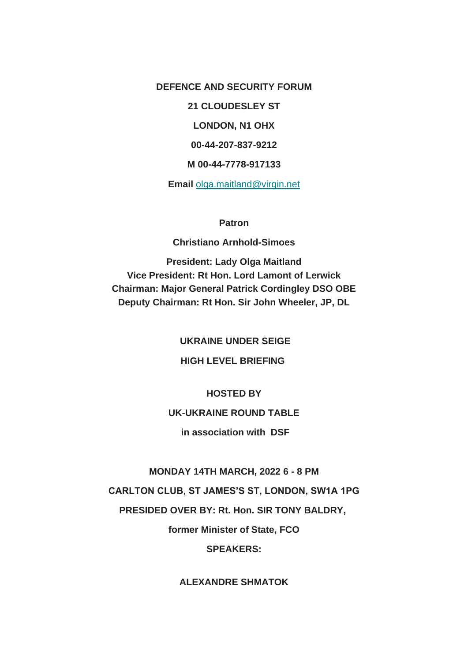**DEFENCE AND SECURITY FORUM 21 CLOUDESLEY ST LONDON, N1 OHX 00-44-207-837-9212 M 00-44-7778-917133 Email** [olga.maitland@virgin.net](mailto:olga.maitland@virgin.net)

#### **Patron**

#### **Christiano Arnhold-Simoes**

**President: Lady Olga Maitland Vice President: Rt Hon. Lord Lamont of Lerwick Chairman: Major General Patrick Cordingley DSO OBE Deputy Chairman: Rt Hon. Sir John Wheeler, JP, DL**

**UKRAINE UNDER SEIGE**

## **HIGH LEVEL BRIEFING**

#### **HOSTED BY**

## **UK-UKRAINE ROUND TABLE**

**in association with DSF**

#### **MONDAY 14TH MARCH, 2022 6 - 8 PM**

**CARLTON CLUB, ST JAMES'S ST, LONDON, SW1A 1PG**

**PRESIDED OVER BY: Rt. Hon. SIR TONY BALDRY,**

**former Minister of State, FCO**

### **SPEAKERS:**

### **ALEXANDRE SHMATOK**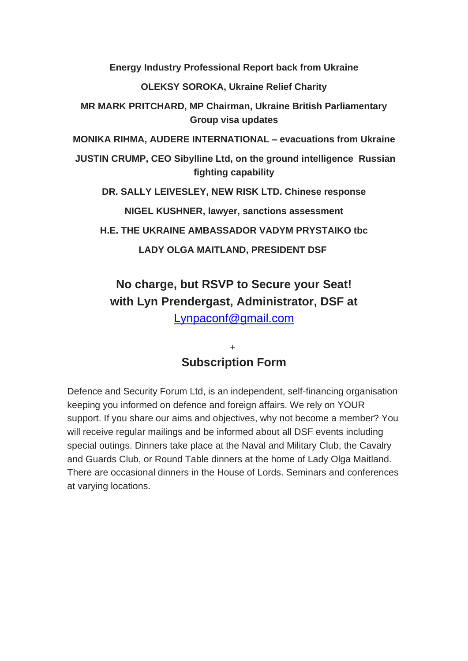**Energy Industry Professional Report back from Ukraine**

**OLEKSY SOROKA, Ukraine Relief Charity**

**MR MARK PRITCHARD, MP Chairman, Ukraine British Parliamentary Group visa updates**

**MONIKA RIHMA, AUDERE INTERNATIONAL – evacuations from Ukraine**

**JUSTIN CRUMP, CEO Sibylline Ltd, on the ground intelligence Russian fighting capability**

**DR. SALLY LEIVESLEY, NEW RISK LTD. Chinese response**

**NIGEL KUSHNER, lawyer, sanctions assessment**

**H.E. THE UKRAINE AMBASSADOR VADYM PRYSTAIKO tbc**

**LADY OLGA MAITLAND, PRESIDENT DSF**

# **No charge, but RSVP to Secure your Seat! with Lyn Prendergast, Administrator, DSF at**

[Lynpaconf@gmail.com](mailto:Lynpaconf@gmail.com)

## + **Subscription Form**

Defence and Security Forum Ltd, is an independent, self-financing organisation keeping you informed on defence and foreign affairs. We rely on YOUR support. If you share our aims and objectives, why not become a member? You will receive regular mailings and be informed about all DSF events including special outings. Dinners take place at the Naval and Military Club, the Cavalry and Guards Club, or Round Table dinners at the home of Lady Olga Maitland. There are occasional dinners in the House of Lords. Seminars and conferences at varying locations.